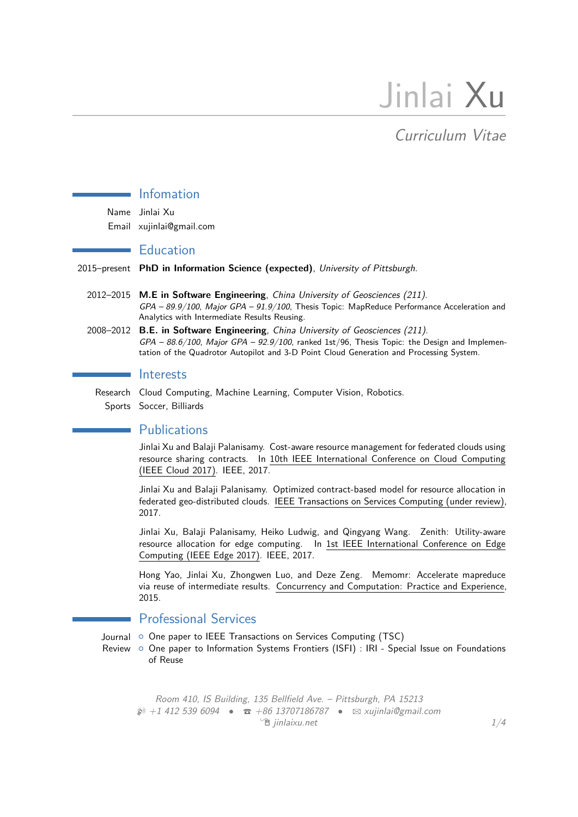# Jinlai Xu

## Curriculum Vitae

## Infomation

Name Jinlai Xu Email xujinlai@gmail.com

## **Education**

2015–present **PhD in Information Science (expected)**, University of Pittsburgh.

- 2012–2015 **M.E in Software Engineering**, China University of Geosciences (211).  $GPA - 89.9/100$ , Major  $GPA - 91.9/100$ , Thesis Topic: MapReduce Performance Acceleration and Analytics with Intermediate Results Reusing.
- 2008–2012 **B.E. in Software Engineering**, China University of Geosciences (211).  $GPA - 88.6/100$ , Major  $GPA - 92.9/100$ , ranked 1st/96, Thesis Topic: the Design and Implementation of the Quadrotor Autopilot and 3-D Point Cloud Generation and Processing System.

#### Interests

Research Cloud Computing, Machine Learning, Computer Vision, Robotics. Sports Soccer, Billiards

## **Publications**

Jinlai Xu and Balaji Palanisamy. Cost-aware resource management for federated clouds using resource sharing contracts. In 10th IEEE International Conference on Cloud Computing (IEEE Cloud 2017). IEEE, 2017.

Jinlai Xu and Balaji Palanisamy. Optimized contract-based model for resource allocation in federated geo-distributed clouds. IEEE Transactions on Services Computing (under review), 2017.

Jinlai Xu, Balaji Palanisamy, Heiko Ludwig, and Qingyang Wang. Zenith: Utility-aware resource allocation for edge computing. In 1st IEEE International Conference on Edge Computing (IEEE Edge 2017). IEEE, 2017.

Hong Yao, Jinlai Xu, Zhongwen Luo, and Deze Zeng. Memomr: Accelerate mapreduce via reuse of intermediate results. Concurrency and Computation: Practice and Experience, 2015.

## Professional Services

Journal © One paper to IEEE Transactions on Services Computing (TSC)

Review © One paper to Information Systems Frontiers (ISFI) : IRI - Special Issue on Foundations of Reuse

Room 410, IS Building, 135 Bellfield Ave. – Pittsburgh, PA 15213 H +1 412 539 6094 *•* T +86 13707186787 *•* B xujinlai@gmail.com  $\hat{p}$  jinlaixu.net  $1/4$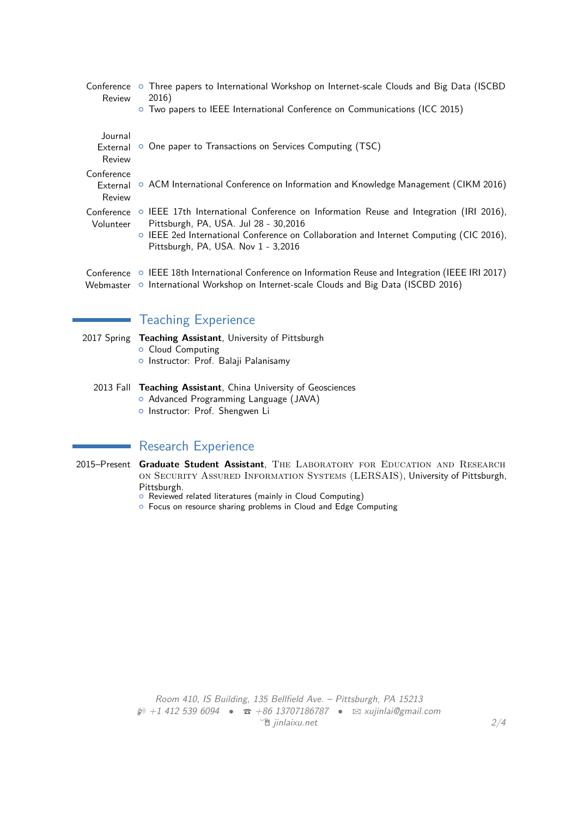| Review                           | Conference ○ Three papers to International Workshop on Internet-scale Clouds and Big Data (ISCBD<br>2016)<br>○ Two papers to IEEE International Conference on Communications (ICC 2015)                                                                                           |
|----------------------------------|-----------------------------------------------------------------------------------------------------------------------------------------------------------------------------------------------------------------------------------------------------------------------------------|
| Journal<br>External<br>Review    | • One paper to Transactions on Services Computing (TSC)                                                                                                                                                                                                                           |
| Conference<br>External<br>Review | $\circ$ ACM International Conference on Information and Knowledge Management (CIKM 2016)                                                                                                                                                                                          |
| Volunteer                        | Conference $\circ$ IEEE 17th International Conference on Information Reuse and Integration (IRI 2016),<br>Pittsburgh, PA, USA. Jul 28 - 30,2016<br>O IEEE 2ed International Conference on Collaboration and Internet Computing (CIC 2016),<br>Pittsburgh, PA, USA. Nov 1 - 3,2016 |
|                                  | Conference $\circ$ IEEE 18th International Conference on Information Reuse and Integration (IEEE IRI 2017)<br>Webmaster o International Workshop on Internet-scale Clouds and Big Data (ISCBD 2016)                                                                               |

## Teaching Experience

- 2017 Spring **Teaching Assistant**, University of Pittsburgh o Cloud Computing
	- o Instructor: Prof. Balaji Palanisamy
	- 2013 Fall **Teaching Assistant**, China University of Geosciences
		- o Advanced Programming Language (JAVA)
		- o Instructor: Prof. Shengwen Li

## Research Experience

- 2015-Present Graduate Student Assistant, THE LABORATORY FOR EDUCATION AND RESEARCH on Security Assured Information Systems (LERSAIS), University of Pittsburgh, Pittsburgh.
	- **Reviewed related literatures (mainly in Cloud Computing)**
	- { Focus on resource sharing problems in Cloud and Edge Computing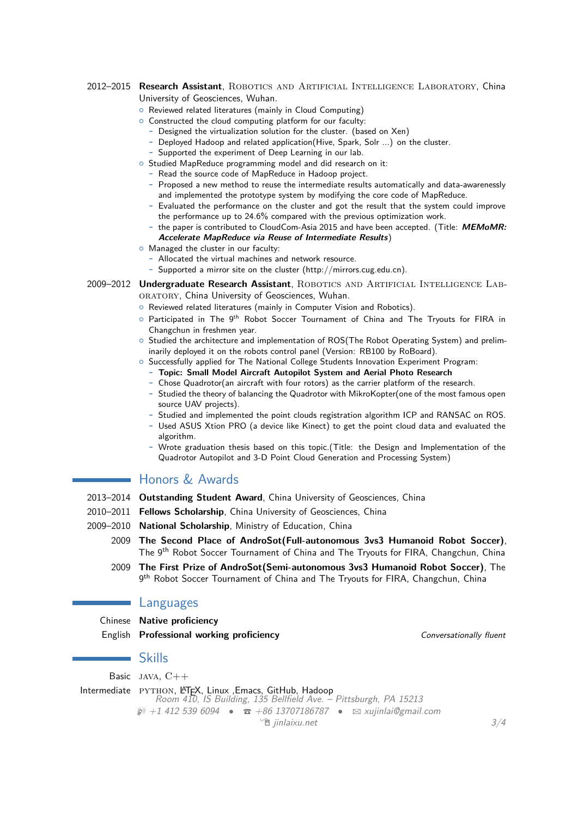#### 2012–2015 **Research Assistant**, Robotics and Artificial Intelligence Laboratory, China University of Geosciences, Wuhan.

- **o** Reviewed related literatures (mainly in Cloud Computing)
- $\circ$  Constructed the cloud computing platform for our faculty:
	- **-** Designed the virtualization solution for the cluster. (based on Xen)
	- **-** Deployed Hadoop and related application(Hive, Spark, Solr ...) on the cluster.
	- **-** Supported the experiment of Deep Learning in our lab.
- o Studied MapReduce programming model and did research on it:
	- **-** Read the source code of MapReduce in Hadoop project.
	- **-** Proposed a new method to reuse the intermediate results automatically and data-awarenessly and implemented the prototype system by modifying the core code of MapReduce.
	- **-** Evaluated the performance on the cluster and got the result that the system could improve the performance up to 24.6% compared with the previous optimization work.
	- **-** the paper is contributed to CloudCom-Asia 2015 and have been accepted. (Title: **MEMoMR: Accelerate MapReduce via Reuse of Intermediate Results**)
- $\circ$  Managed the cluster in our faculty:
	- **-** Allocated the virtual machines and network resource.
	- **-** Supported a mirror site on the cluster (http://mirrors.cug.edu.cn).
- 2009–2012 Undergraduate Research Assistant, ROBOTICS AND ARTIFICIAL INTELLIGENCE LAB-ORATORY, China University of Geosciences, Wuhan.
	- o Reviewed related literatures (mainly in Computer Vision and Robotics).
	- $\circ$  Participated in The 9<sup>th</sup> Robot Soccer Tournament of China and The Tryouts for FIRA in Changchun in freshmen year.
	- $\circ$  Studied the architecture and implementation of ROS(The Robot Operating System) and preliminarily deployed it on the robots control panel (Version: RB100 by RoBoard).
	- $\circ$  Successfully applied for The National College Students Innovation Experiment Program:
		- **- Topic: Small Model Aircraft Autopilot System and Aerial Photo Research**
		- **-** Chose Quadrotor(an aircraft with four rotors) as the carrier platform of the research.
		- **-** Studied the theory of balancing the Quadrotor with MikroKopter(one of the most famous open source UAV projects).
		- **-** Studied and implemented the point clouds registration algorithm ICP and RANSAC on ROS.
		- **-** Used ASUS Xtion PRO (a device like Kinect) to get the point cloud data and evaluated the algorithm.
		- **-** Wrote graduation thesis based on this topic.(Title: the Design and Implementation of the Quadrotor Autopilot and 3-D Point Cloud Generation and Processing System)

## Honors & Awards

- 2013–2014 **Outstanding Student Award**, China University of Geosciences, China
- 2010–2011 **Fellows Scholarship**, China University of Geosciences, China
- 2009–2010 **National Scholarship**, Ministry of Education, China
	- 2009 **The Second Place of AndroSot(Full-autonomous 3vs3 Humanoid Robot Soccer)**, The 9<sup>th</sup> Robot Soccer Tournament of China and The Tryouts for FIRA, Changchun, China
		- 2009 **The First Prize of AndroSot(Semi-autonomous 3vs3 Humanoid Robot Soccer)**, The 9<sup>th</sup> Robot Soccer Tournament of China and The Tryouts for FIRA, Changchun, China

### Languages

Chinese **Native proficiency English Professional working proficiency Convertigationally fluent** *Conversationally fluent* 

#### Skills

Basic java, C++

Intermediate PYTHON, LATEX, Linux, Emacs, GitHub, Hadoop Room 410, IS Building, 135 Bellfield Ave. – Pittsburgh, PA 15213  $\circledR$  +1 412 539 6094 **•**  $\circledR$  +86 13707186787 •  $\boxtimes$  xujinlai@gmail.com  $\hat{p}$  jinlaixu.net  $3/4$